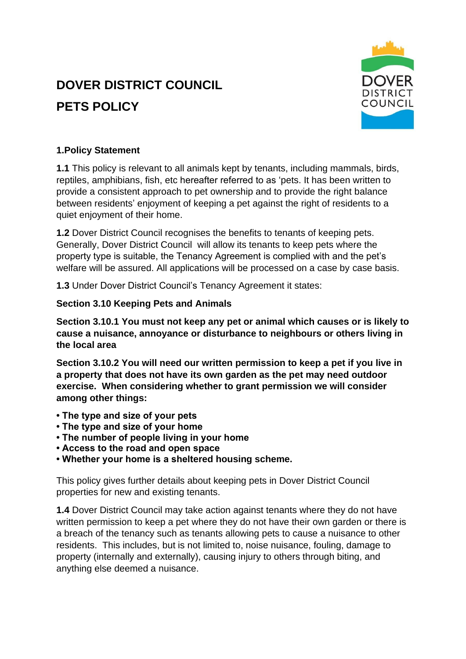# **DOVER DISTRICT COUNCIL PETS POLICY**



## **1.Policy Statement**

**1.1** This policy is relevant to all animals kept by tenants, including mammals, birds, reptiles, amphibians, fish, etc hereafter referred to as 'pets. It has been written to provide a consistent approach to pet ownership and to provide the right balance between residents' enjoyment of keeping a pet against the right of residents to a quiet enjoyment of their home.

**1.2** Dover District Council recognises the benefits to tenants of keeping pets. Generally, Dover District Council will allow its tenants to keep pets where the property type is suitable, the Tenancy Agreement is complied with and the pet's welfare will be assured. All applications will be processed on a case by case basis.

**1.3** Under Dover District Council's Tenancy Agreement it states:

#### **Section 3.10 Keeping Pets and Animals**

**Section 3.10.1 You must not keep any pet or animal which causes or is likely to cause a nuisance, annoyance or disturbance to neighbours or others living in the local area**

**Section 3.10.2 You will need our written permission to keep a pet if you live in a property that does not have its own garden as the pet may need outdoor exercise. When considering whether to grant permission we will consider among other things:** 

- **The type and size of your pets**
- **The type and size of your home**
- **The number of people living in your home**
- **Access to the road and open space**
- **Whether your home is a sheltered housing scheme.**

This policy gives further details about keeping pets in Dover District Council properties for new and existing tenants.

**1.4** Dover District Council may take action against tenants where they do not have written permission to keep a pet where they do not have their own garden or there is a breach of the tenancy such as tenants allowing pets to cause a nuisance to other residents. This includes, but is not limited to, noise nuisance, fouling, damage to property (internally and externally), causing injury to others through biting, and anything else deemed a nuisance.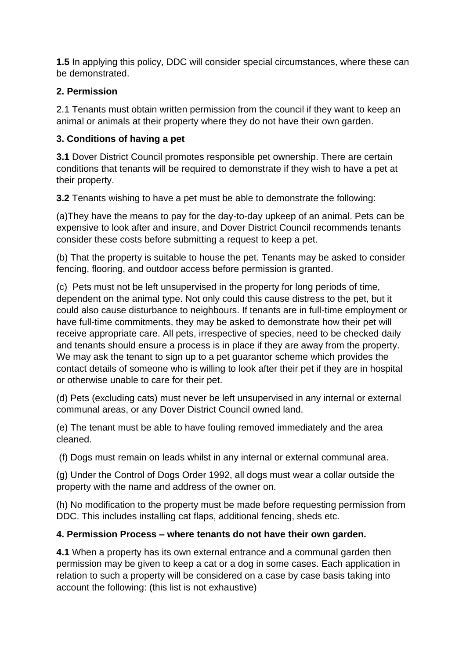**1.5** In applying this policy, DDC will consider special circumstances, where these can be demonstrated.

#### **2. Permission**

2.1 Tenants must obtain written permission from the council if they want to keep an animal or animals at their property where they do not have their own garden.

## **3. Conditions of having a pet**

**3.1** Dover District Council promotes responsible pet ownership. There are certain conditions that tenants will be required to demonstrate if they wish to have a pet at their property.

**3.2** Tenants wishing to have a pet must be able to demonstrate the following:

(a)They have the means to pay for the day-to-day upkeep of an animal. Pets can be expensive to look after and insure, and Dover District Council recommends tenants consider these costs before submitting a request to keep a pet.

(b) That the property is suitable to house the pet. Tenants may be asked to consider fencing, flooring, and outdoor access before permission is granted.

(c) Pets must not be left unsupervised in the property for long periods of time, dependent on the animal type. Not only could this cause distress to the pet, but it could also cause disturbance to neighbours. If tenants are in full-time employment or have full-time commitments, they may be asked to demonstrate how their pet will receive appropriate care. All pets, irrespective of species, need to be checked daily and tenants should ensure a process is in place if they are away from the property. We may ask the tenant to sign up to a pet guarantor scheme which provides the contact details of someone who is willing to look after their pet if they are in hospital or otherwise unable to care for their pet.

(d) Pets (excluding cats) must never be left unsupervised in any internal or external communal areas, or any Dover District Council owned land.

(e) The tenant must be able to have fouling removed immediately and the area cleaned.

(f) Dogs must remain on leads whilst in any internal or external communal area.

(g) Under the Control of Dogs Order 1992, all dogs must wear a collar outside the property with the name and address of the owner on.

(h) No modification to the property must be made before requesting permission from DDC. This includes installing cat flaps, additional fencing, sheds etc.

# **4. Permission Process – where tenants do not have their own garden.**

**4.1** When a property has its own external entrance and a communal garden then permission may be given to keep a cat or a dog in some cases. Each application in relation to such a property will be considered on a case by case basis taking into account the following: (this list is not exhaustive)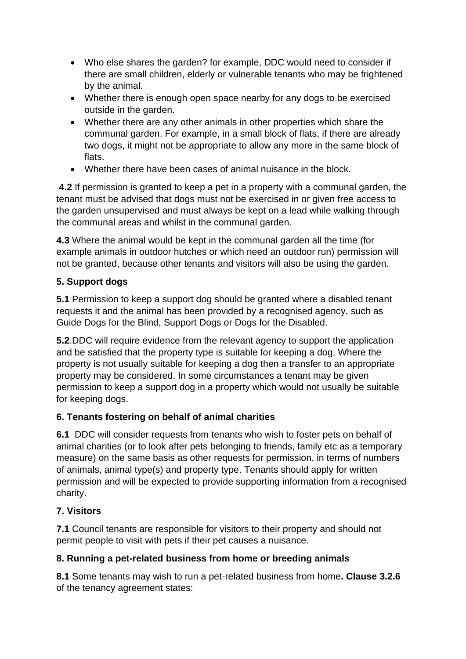- Who else shares the garden? for example, DDC would need to consider if there are small children, elderly or vulnerable tenants who may be frightened by the animal.
- Whether there is enough open space nearby for any dogs to be exercised outside in the garden.
- Whether there are any other animals in other properties which share the communal garden. For example, in a small block of flats, if there are already two dogs, it might not be appropriate to allow any more in the same block of flats.
- Whether there have been cases of animal nuisance in the block.

**4.2** If permission is granted to keep a pet in a property with a communal garden, the tenant must be advised that dogs must not be exercised in or given free access to the garden unsupervised and must always be kept on a lead while walking through the communal areas and whilst in the communal garden.

**4.3** Where the animal would be kept in the communal garden all the time (for example animals in outdoor hutches or which need an outdoor run) permission will not be granted, because other tenants and visitors will also be using the garden.

# **5. Support dogs**

**5.1** Permission to keep a support dog should be granted where a disabled tenant requests it and the animal has been provided by a recognised agency, such as Guide Dogs for the Blind, Support Dogs or Dogs for the Disabled.

**5.2**.DDC will require evidence from the relevant agency to support the application and be satisfied that the property type is suitable for keeping a dog. Where the property is not usually suitable for keeping a dog then a transfer to an appropriate property may be considered. In some circumstances a tenant may be given permission to keep a support dog in a property which would not usually be suitable for keeping dogs.

# **6. Tenants fostering on behalf of animal charities**

**6.1** DDC will consider requests from tenants who wish to foster pets on behalf of animal charities (or to look after pets belonging to friends, family etc as a temporary measure) on the same basis as other requests for permission, in terms of numbers of animals, animal type(s) and property type. Tenants should apply for written permission and will be expected to provide supporting information from a recognised charity.

# **7. Visitors**

**7.1** Council tenants are responsible for visitors to their property and should not permit people to visit with pets if their pet causes a nuisance.

# **8. Running a pet-related business from home or breeding animals**

**8.1** Some tenants may wish to run a pet-related business from home**. Clause 3.2.6** of the tenancy agreement states: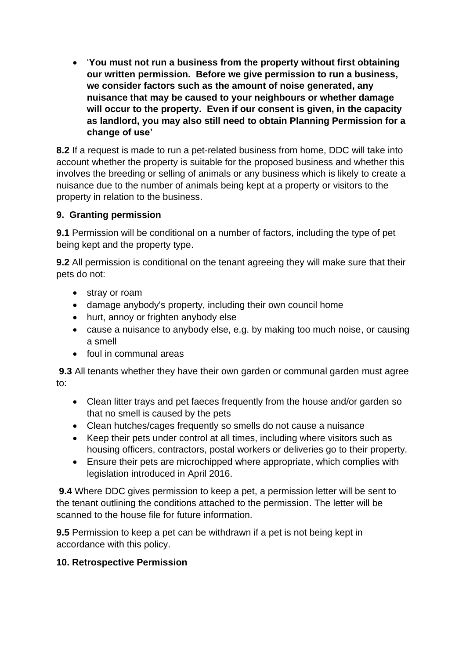• '**You must not run a business from the property without first obtaining our written permission. Before we give permission to run a business, we consider factors such as the amount of noise generated, any nuisance that may be caused to your neighbours or whether damage will occur to the property. Even if our consent is given, in the capacity as landlord, you may also still need to obtain Planning Permission for a change of use'**

**8.2** If a request is made to run a pet-related business from home, DDC will take into account whether the property is suitable for the proposed business and whether this involves the breeding or selling of animals or any business which is likely to create a nuisance due to the number of animals being kept at a property or visitors to the property in relation to the business.

## **9. Granting permission**

**9.1** Permission will be conditional on a number of factors, including the type of pet being kept and the property type.

**9.2** All permission is conditional on the tenant agreeing they will make sure that their pets do not:

- stray or roam
- damage anybody's property, including their own council home
- hurt, annoy or frighten anybody else
- cause a nuisance to anybody else, e.g. by making too much noise, or causing a smell
- foul in communal areas

**9.3** All tenants whether they have their own garden or communal garden must agree to:

- Clean litter trays and pet faeces frequently from the house and/or garden so that no smell is caused by the pets
- Clean hutches/cages frequently so smells do not cause a nuisance
- Keep their pets under control at all times, including where visitors such as housing officers, contractors, postal workers or deliveries go to their property.
- Ensure their pets are microchipped where appropriate, which complies with legislation introduced in April 2016.

**9.4** Where DDC gives permission to keep a pet, a permission letter will be sent to the tenant outlining the conditions attached to the permission. The letter will be scanned to the house file for future information.

**9.5** Permission to keep a pet can be withdrawn if a pet is not being kept in accordance with this policy.

#### **10. Retrospective Permission**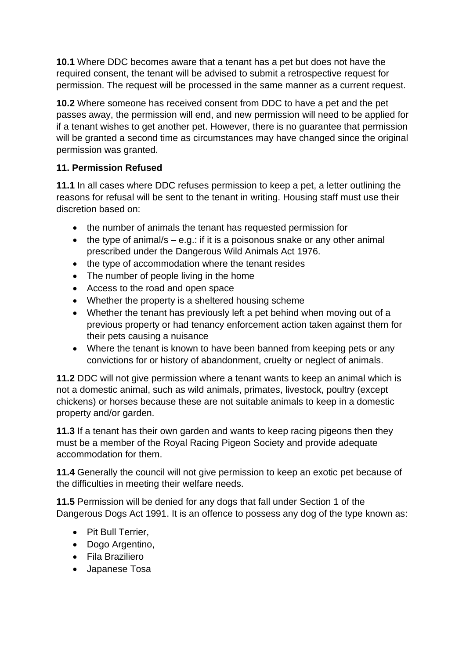**10.1** Where DDC becomes aware that a tenant has a pet but does not have the required consent, the tenant will be advised to submit a retrospective request for permission. The request will be processed in the same manner as a current request.

**10.2** Where someone has received consent from DDC to have a pet and the pet passes away, the permission will end, and new permission will need to be applied for if a tenant wishes to get another pet. However, there is no guarantee that permission will be granted a second time as circumstances may have changed since the original permission was granted.

# **11. Permission Refused**

**11.1** In all cases where DDC refuses permission to keep a pet, a letter outlining the reasons for refusal will be sent to the tenant in writing. Housing staff must use their discretion based on:

- the number of animals the tenant has requested permission for
- the type of animal/s  $-$  e.g.: if it is a poisonous snake or any other animal prescribed under the Dangerous Wild Animals Act 1976.
- the type of accommodation where the tenant resides
- The number of people living in the home
- Access to the road and open space
- Whether the property is a sheltered housing scheme
- Whether the tenant has previously left a pet behind when moving out of a previous property or had tenancy enforcement action taken against them for their pets causing a nuisance
- Where the tenant is known to have been banned from keeping pets or any convictions for or history of abandonment, cruelty or neglect of animals.

**11.2** DDC will not give permission where a tenant wants to keep an animal which is not a domestic animal, such as wild animals, primates, livestock, poultry (except chickens) or horses because these are not suitable animals to keep in a domestic property and/or garden.

**11.3** If a tenant has their own garden and wants to keep racing pigeons then they must be a member of the Royal Racing Pigeon Society and provide adequate accommodation for them.

**11.4** Generally the council will not give permission to keep an exotic pet because of the difficulties in meeting their welfare needs.

**11.5** Permission will be denied for any dogs that fall under Section 1 of the Dangerous Dogs Act 1991. It is an offence to possess any dog of the type known as:

- Pit Bull Terrier,
- Dogo Argentino,
- Fila Braziliero
- Japanese Tosa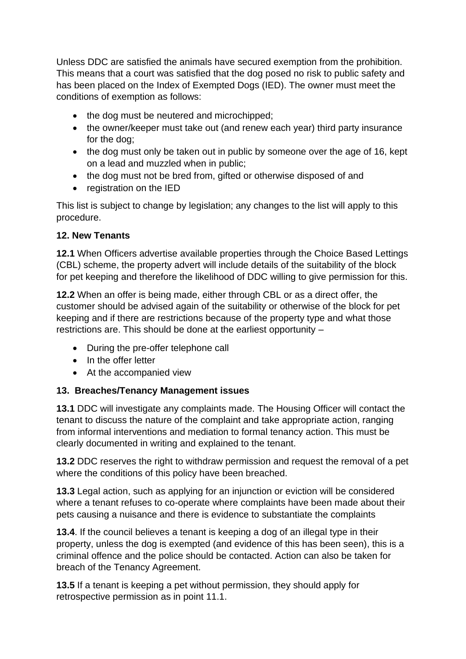Unless DDC are satisfied the animals have secured exemption from the prohibition. This means that a court was satisfied that the dog posed no risk to public safety and has been placed on the Index of Exempted Dogs (IED). The owner must meet the conditions of exemption as follows:

- the dog must be neutered and microchipped;
- the owner/keeper must take out (and renew each vear) third party insurance for the dog;
- the dog must only be taken out in public by someone over the age of 16, kept on a lead and muzzled when in public;
- the dog must not be bred from, gifted or otherwise disposed of and
- registration on the IED

This list is subject to change by legislation; any changes to the list will apply to this procedure.

# **12. New Tenants**

**12.1** When Officers advertise available properties through the Choice Based Lettings (CBL) scheme, the property advert will include details of the suitability of the block for pet keeping and therefore the likelihood of DDC willing to give permission for this.

**12.2** When an offer is being made, either through CBL or as a direct offer, the customer should be advised again of the suitability or otherwise of the block for pet keeping and if there are restrictions because of the property type and what those restrictions are. This should be done at the earliest opportunity –

- During the pre-offer telephone call
- In the offer letter
- At the accompanied view

# **13. Breaches/Tenancy Management issues**

**13.1** DDC will investigate any complaints made. The Housing Officer will contact the tenant to discuss the nature of the complaint and take appropriate action, ranging from informal interventions and mediation to formal tenancy action. This must be clearly documented in writing and explained to the tenant.

**13.2** DDC reserves the right to withdraw permission and request the removal of a pet where the conditions of this policy have been breached.

**13.3** Legal action, such as applying for an injunction or eviction will be considered where a tenant refuses to co-operate where complaints have been made about their pets causing a nuisance and there is evidence to substantiate the complaints

**13.4**. If the council believes a tenant is keeping a dog of an illegal type in their property, unless the dog is exempted (and evidence of this has been seen), this is a criminal offence and the police should be contacted. Action can also be taken for breach of the Tenancy Agreement.

**13.5** If a tenant is keeping a pet without permission, they should apply for retrospective permission as in point 11.1.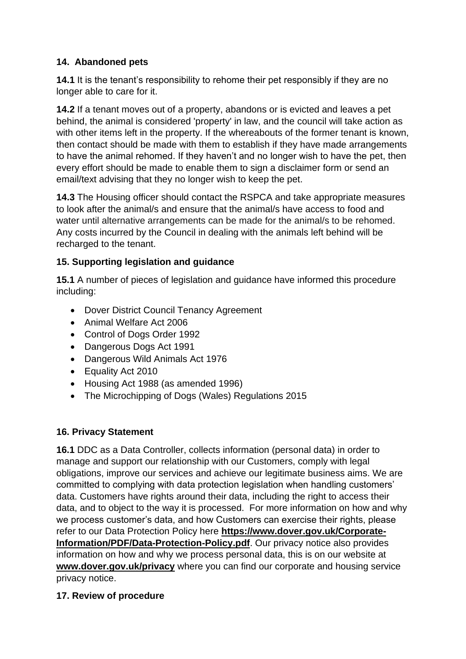## **14. Abandoned pets**

**14.1** It is the tenant's responsibility to rehome their pet responsibly if they are no longer able to care for it.

**14.2** If a tenant moves out of a property, abandons or is evicted and leaves a pet behind, the animal is considered 'property' in law, and the council will take action as with other items left in the property. If the whereabouts of the former tenant is known, then contact should be made with them to establish if they have made arrangements to have the animal rehomed. If they haven't and no longer wish to have the pet, then every effort should be made to enable them to sign a disclaimer form or send an email/text advising that they no longer wish to keep the pet.

**14.3** The Housing officer should contact the RSPCA and take appropriate measures to look after the animal/s and ensure that the animal/s have access to food and water until alternative arrangements can be made for the animal/s to be rehomed. Any costs incurred by the Council in dealing with the animals left behind will be recharged to the tenant.

## **15. Supporting legislation and guidance**

**15.1** A number of pieces of legislation and guidance have informed this procedure including:

- Dover District Council Tenancy Agreement
- Animal Welfare Act 2006
- Control of Dogs Order 1992
- Dangerous Dogs Act 1991
- Dangerous Wild Animals Act 1976
- Equality Act 2010
- Housing Act 1988 (as amended 1996)
- The Microchipping of Dogs (Wales) Regulations 2015

#### **16. Privacy Statement**

**16.1** DDC as a Data Controller, collects information (personal data) in order to manage and support our relationship with our Customers, comply with legal obligations, improve our services and achieve our legitimate business aims. We are committed to complying with data protection legislation when handling customers' data. Customers have rights around their data, including the right to access their data, and to object to the way it is processed. For more information on how and why we process customer's data, and how Customers can exercise their rights, please refer to our Data Protection Policy here **[https://www.dover.gov.uk/Corporate-](https://www.dover.gov.uk/Corporate-Information/PDF/Data-Protection-Policy.pdf)[Information/PDF/Data-Protection-Policy.pdf](https://www.dover.gov.uk/Corporate-Information/PDF/Data-Protection-Policy.pdf)**. Our privacy notice also provides information on how and why we process personal data, this is on our website at **[www.dover.gov.uk/privacy](http://www.dover.gov.uk/privacy)** where you can find our corporate and housing service privacy notice.

#### **17. Review of procedure**